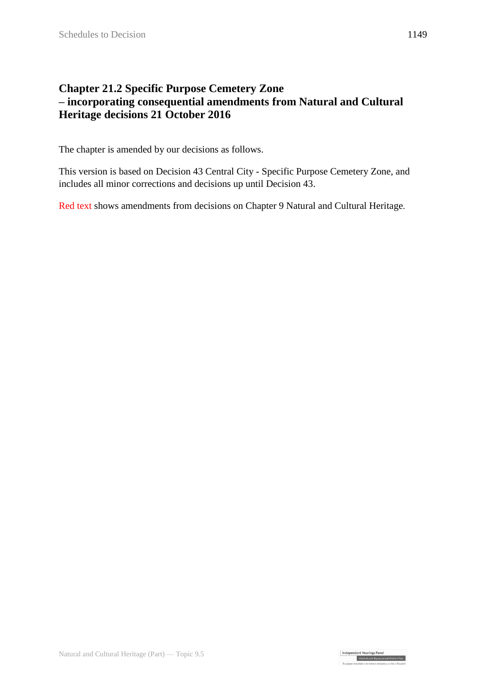## **Chapter 21.2 Specific Purpose Cemetery Zone – incorporating consequential amendments from Natural and Cultural Heritage decisions 21 October 2016**

The chapter is amended by our decisions as follows.

This version is based on Decision 43 Central City - Specific Purpose Cemetery Zone, and includes all minor corrections and decisions up until Decision 43.

Red text shows amendments from decisions on Chapter 9 Natural and Cultural Heritage.

Independent Hearings Panel<br>Christchurch Replacement District Plan<br>To contra statistic of a photo-photons rathe of Castel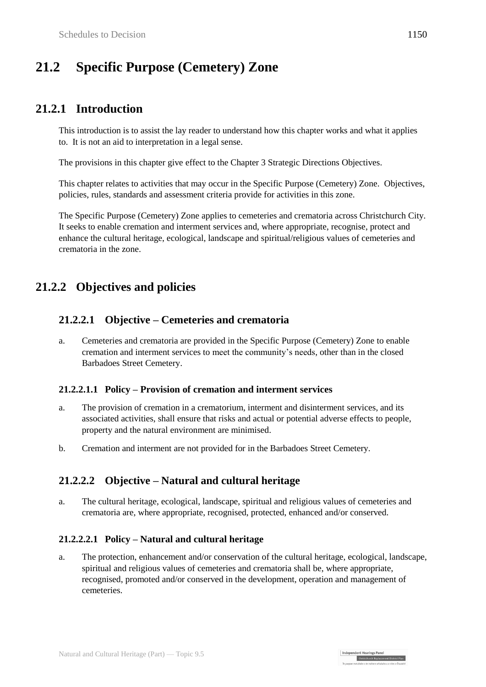# **21.2 Specific Purpose (Cemetery) Zone**

## **21.2.1 Introduction**

This introduction is to assist the lay reader to understand how this chapter works and what it applies to. It is not an aid to interpretation in a legal sense.

The provisions in this chapter give effect to the Chapter 3 Strategic Directions Objectives.

This chapter relates to activities that may occur in the Specific Purpose (Cemetery) Zone. Objectives, policies, rules, standards and assessment criteria provide for activities in this zone.

The Specific Purpose (Cemetery) Zone applies to cemeteries and crematoria across Christchurch City. It seeks to enable cremation and interment services and, where appropriate, recognise, protect and enhance the cultural heritage, ecological, landscape and spiritual/religious values of cemeteries and crematoria in the zone.

## **21.2.2 Objectives and policies**

### **21.2.2.1 Objective – Cemeteries and crematoria**

a. Cemeteries and crematoria are provided in the Specific Purpose (Cemetery) Zone to enable cremation and interment services to meet the community's needs, other than in the closed Barbadoes Street Cemetery.

#### **21.2.2.1.1 Policy – Provision of cremation and interment services**

- a. The provision of cremation in a crematorium, interment and disinterment services, and its associated activities, shall ensure that risks and actual or potential adverse effects to people, property and the natural environment are minimised.
- b. Cremation and interment are not provided for in the Barbadoes Street Cemetery.

### **21.2.2.2 Objective – Natural and cultural heritage**

a. The cultural heritage, ecological, landscape, spiritual and religious values of cemeteries and crematoria are, where appropriate, recognised, protected, enhanced and/or conserved.

#### **21.2.2.2.1 Policy – Natural and cultural heritage**

a. The protection, enhancement and/or conservation of the cultural heritage, ecological, landscape, spiritual and religious values of cemeteries and crematoria shall be, where appropriate, recognised, promoted and/or conserved in the development, operation and management of cemeteries.

Independent Hearings Panel

Christchurch Replacement District Plan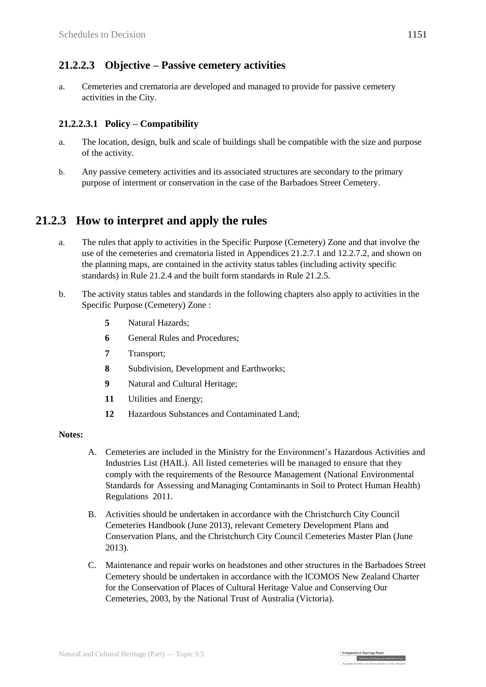### **21.2.2.3 Objective – Passive cemetery activities**

a. Cemeteries and crematoria are developed and managed to provide for passive cemetery activities in the City.

#### **21.2.2.3.1 Policy – Compatibility**

- a. The location, design, bulk and scale of buildings shall be compatible with the size and purpose of the activity.
- b. Any passive cemetery activities and its associated structures are secondary to the primary purpose of interment or conservation in the case of the Barbadoes Street Cemetery.

## **21.2.3 How to interpret and apply the rules**

- a. The rules that apply to activities in the Specific Purpose (Cemetery) Zone and that involve the use of the cemeteries and crematoria listed in Appendices 21.2.7.1 and 12.2.7.2, and shown on the planning maps, are contained in the activity status tables (including activity specific standards) in Rule 21.2.4 and the built form standards in Rule 21.2.5.
- b. The activity status tables and standards in the following chapters also apply to activities in the Specific Purpose (Cemetery) Zone :
	- **5** Natural Hazards;
	- **6 General Rules and Procedures;**
	- **7** Transport;
	- **8** Subdivision, Development and Earthworks;
	- **9** Natural and Cultural Heritage;
	- **11** Utilities and Energy;
	- **12** Hazardous Substances and Contaminated Land;

#### **Notes:**

- A. Cemeteries are included in the Ministry for the Environment's Hazardous Activities and Industries List (HAIL). All listed cemeteries will be managed to ensure that they comply with the requirements of the Resource Management (National Environmental Standards for Assessing andManaging Contaminants in Soil to Protect Human Health) Regulations 2011.
- B. Activities should be undertaken in accordance with the Christchurch City Council Cemeteries Handbook (June 2013), relevant Cemetery Development Plans and Conservation Plans, and the Christchurch City Council Cemeteries Master Plan (June 2013).
- C. Maintenance and repair works on headstones and other structures in the Barbadoes Street Cemetery should be undertaken in accordance with the ICOMOS New Zealand Charter for the Conservation of Places of Cultural Heritage Value and Conserving Our Cemeteries, 2003, by the National Trust of Australia (Victoria).

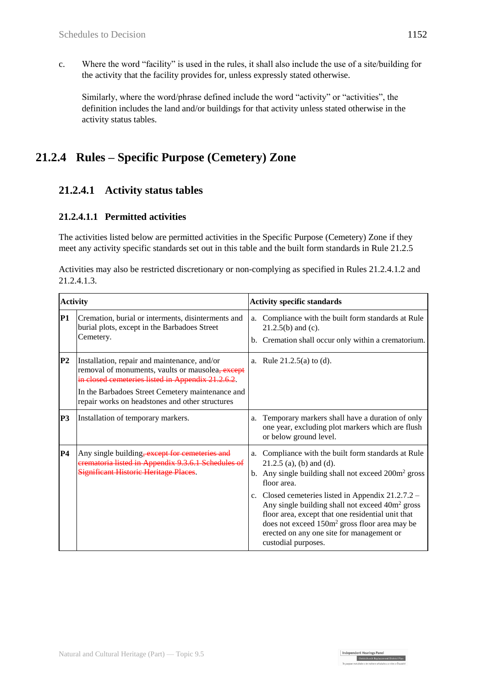c. Where the word "facility" is used in the rules, it shall also include the use of a site/building for the activity that the facility provides for, unless expressly stated otherwise.

Similarly, where the word/phrase defined include the word "activity" or "activities", the definition includes the land and/or buildings for that activity unless stated otherwise in the activity status tables.

## **21.2.4 Rules – Specific Purpose (Cemetery) Zone**

## **21.2.4.1 Activity status tables**

#### **21.2.4.1.1 Permitted activities**

The activities listed below are permitted activities in the Specific Purpose (Cemetery) Zone if they meet any activity specific standards set out in this table and the built form standards in Rule 21.2.5

| Activities may also be restricted discretionary or non-complying as specified in Rules 21.2.4.1.2 and |  |
|-------------------------------------------------------------------------------------------------------|--|
| 21.2.4.1.3.                                                                                           |  |

| <b>Activity</b> |                                                                                                                                                                                                                                                              | <b>Activity specific standards</b>                                                                                                                                                                                                                                                                        |  |  |  |
|-----------------|--------------------------------------------------------------------------------------------------------------------------------------------------------------------------------------------------------------------------------------------------------------|-----------------------------------------------------------------------------------------------------------------------------------------------------------------------------------------------------------------------------------------------------------------------------------------------------------|--|--|--|
| <b>P1</b>       | Cremation, burial or interments, disinterments and<br>burial plots, except in the Barbadoes Street<br>Cemetery.                                                                                                                                              | Compliance with the built form standards at Rule<br>a.<br>$21.2.5(b)$ and (c).<br>b. Cremation shall occur only within a crematorium.                                                                                                                                                                     |  |  |  |
| P <sub>2</sub>  | Installation, repair and maintenance, and/or<br>removal of monuments, vaults or mausolea, except<br>in closed cemeteries listed in Appendix 21.2.6.2.<br>In the Barbadoes Street Cemetery maintenance and<br>repair works on headstones and other structures | a. Rule $21.2.5(a)$ to (d).                                                                                                                                                                                                                                                                               |  |  |  |
| <b>P3</b>       | Installation of temporary markers.                                                                                                                                                                                                                           | Temporary markers shall have a duration of only<br>a.<br>one year, excluding plot markers which are flush<br>or below ground level.                                                                                                                                                                       |  |  |  |
| P <sub>4</sub>  | Any single building, except for cemeteries and<br>crematoria listed in Appendix 9.3.6.1 Schedules of<br>Significant Historic Heritage Places.                                                                                                                | a. Compliance with the built form standards at Rule<br>$21.2.5$ (a), (b) and (d).<br>b. Any single building shall not exceed $200m^2$ gross<br>floor area.                                                                                                                                                |  |  |  |
|                 |                                                                                                                                                                                                                                                              | c. Closed cemeteries listed in Appendix $21.2.7.2 -$<br>Any single building shall not exceed 40m <sup>2</sup> gross<br>floor area, except that one residential unit that<br>does not exceed 150m <sup>2</sup> gross floor area may be<br>erected on any one site for management or<br>custodial purposes. |  |  |  |

Independent Hearings Panel<br>Christchurch Replacement District Plan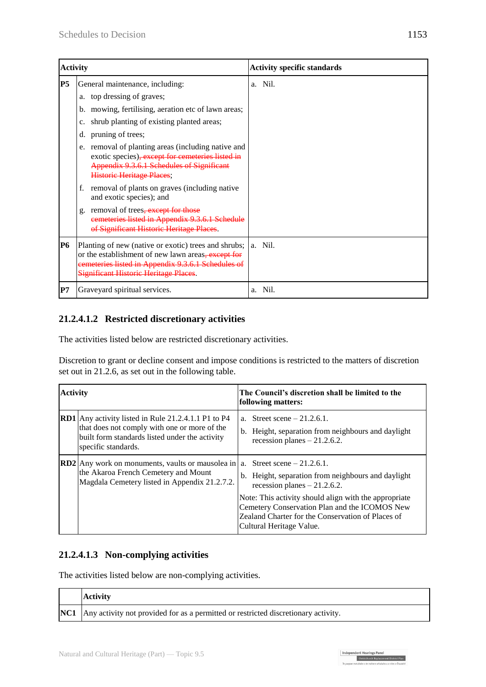| <b>Activity</b> |                                                                                                                                                                                                                                                                                                                                                                                                 | <b>Activity specific standards</b> |
|-----------------|-------------------------------------------------------------------------------------------------------------------------------------------------------------------------------------------------------------------------------------------------------------------------------------------------------------------------------------------------------------------------------------------------|------------------------------------|
| IP <sub>5</sub> | General maintenance, including:<br>a. top dressing of graves;<br>b. mowing, fertilising, aeration etc of lawn areas;<br>shrub planting of existing planted areas;<br>$\mathbf{c}$ .<br>d. pruning of trees;<br>e. removal of planting areas (including native and<br>exotic species), except for cemeteries listed in<br>Appendix 9.3.6.1 Schedules of Significant<br>Historic Heritage Places; | a. Nil.                            |
|                 | f.<br>removal of plants on graves (including native<br>and exotic species); and<br>removal of trees <del>, except for those</del><br>g.<br>cemeteries listed in Appendix 9.3.6.1 Schedule<br>of Significant Historic Heritage Places.                                                                                                                                                           |                                    |
| IP6             | Planting of new (native or exotic) trees and shrubs;<br>or the establishment of new lawn areas, except for<br>cemeteries listed in Appendix 9.3.6.1 Schedules of<br><b>Significant Historic Heritage Places.</b>                                                                                                                                                                                | a. Nil.                            |
| lP7             | Graveyard spiritual services.                                                                                                                                                                                                                                                                                                                                                                   | Nil.<br>a.                         |

#### **21.2.4.1.2 Restricted discretionary activities**

The activities listed below are restricted discretionary activities.

Discretion to grant or decline consent and impose conditions is restricted to the matters of discretion set out in 21.2.6, as set out in the following table.

| <b>Activity</b> |                                                                                                                                                                                     | The Council's discretion shall be limited to the<br>following matters:                                                                                                                                                                                                          |  |  |  |
|-----------------|-------------------------------------------------------------------------------------------------------------------------------------------------------------------------------------|---------------------------------------------------------------------------------------------------------------------------------------------------------------------------------------------------------------------------------------------------------------------------------|--|--|--|
|                 | <b>RD1</b> Any activity listed in Rule 21.2.4.1.1 P1 to P4<br>that does not comply with one or more of the<br>built form standards listed under the activity<br>specific standards. | a. Street scene $-21.2.6.1$ .<br>b. Height, separation from neighbours and daylight<br>recession planes $-21.2.6.2$ .                                                                                                                                                           |  |  |  |
|                 | <b>RD2</b> Any work on monuments, vaults or mausolea in $ a $ . Street scene – 21.2.6.1.<br>the Akaroa French Cemetery and Mount<br>Magdala Cemetery listed in Appendix 21.2.7.2.   | b. Height, separation from neighbours and daylight<br>recession planes $-21.2.6.2$ .<br>Note: This activity should align with the appropriate<br>Cemetery Conservation Plan and the ICOMOS New<br>Zealand Charter for the Conservation of Places of<br>Cultural Heritage Value. |  |  |  |

### **21.2.4.1.3 Non-complying activities**

The activities listed below are non-complying activities.

| <b>Activity</b>                                                                               |
|-----------------------------------------------------------------------------------------------|
| <b>NC1</b> Any activity not provided for as a permitted or restricted discretionary activity. |

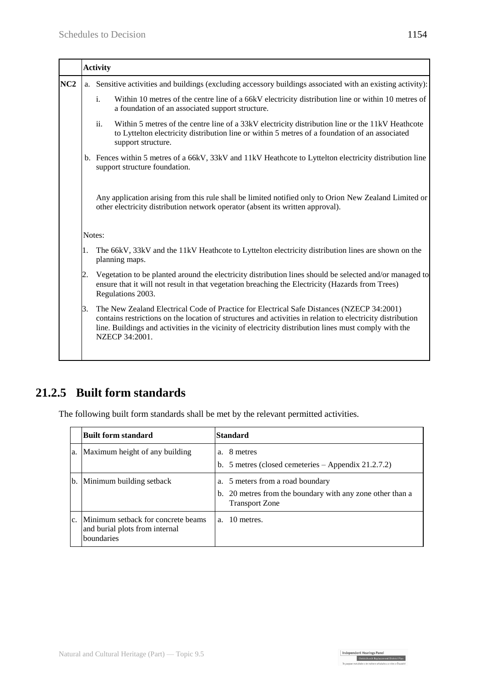| a. Sensitive activities and buildings (excluding accessory buildings associated with an existing activity):<br>i.<br>Within 10 metres of the centre line of a 66kV electricity distribution line or within 10 metres of<br>a foundation of an associated support structure.<br>ii.<br>Within 5 metres of the centre line of a 33kV electricity distribution line or the 11kV Heathcote<br>to Lyttelton electricity distribution line or within 5 metres of a foundation of an associated<br>support structure.<br>b. Fences within 5 metres of a 66kV, 33kV and 11kV Heathcote to Lyttelton electricity distribution line<br>support structure foundation. |
|------------------------------------------------------------------------------------------------------------------------------------------------------------------------------------------------------------------------------------------------------------------------------------------------------------------------------------------------------------------------------------------------------------------------------------------------------------------------------------------------------------------------------------------------------------------------------------------------------------------------------------------------------------|
|                                                                                                                                                                                                                                                                                                                                                                                                                                                                                                                                                                                                                                                            |
|                                                                                                                                                                                                                                                                                                                                                                                                                                                                                                                                                                                                                                                            |
|                                                                                                                                                                                                                                                                                                                                                                                                                                                                                                                                                                                                                                                            |
|                                                                                                                                                                                                                                                                                                                                                                                                                                                                                                                                                                                                                                                            |
| Any application arising from this rule shall be limited notified only to Orion New Zealand Limited or<br>other electricity distribution network operator (absent its written approval).                                                                                                                                                                                                                                                                                                                                                                                                                                                                    |
| Notes:                                                                                                                                                                                                                                                                                                                                                                                                                                                                                                                                                                                                                                                     |
| The 66kV, 33kV and the 11kV Heathcote to Lyttelton electricity distribution lines are shown on the<br>planning maps.                                                                                                                                                                                                                                                                                                                                                                                                                                                                                                                                       |
| Vegetation to be planted around the electricity distribution lines should be selected and/or managed to<br>ensure that it will not result in that vegetation breaching the Electricity (Hazards from Trees)<br>Regulations 2003.                                                                                                                                                                                                                                                                                                                                                                                                                           |
| The New Zealand Electrical Code of Practice for Electrical Safe Distances (NZECP 34:2001)<br>contains restrictions on the location of structures and activities in relation to electricity distribution<br>line. Buildings and activities in the vicinity of electricity distribution lines must comply with the<br>NZECP 34:2001.                                                                                                                                                                                                                                                                                                                         |
|                                                                                                                                                                                                                                                                                                                                                                                                                                                                                                                                                                                                                                                            |

## **21.2.5 Built form standards**

The following built form standards shall be met by the relevant permitted activities.

|    | <b>Built form standard</b>                                                         | Standard                                                                                                               |
|----|------------------------------------------------------------------------------------|------------------------------------------------------------------------------------------------------------------------|
| a. | Maximum height of any building                                                     | a. 8 metres<br>b. 5 metres (closed cemeteries $-$ Appendix 21.2.7.2)                                                   |
| b. | Minimum building setback                                                           | a. 5 meters from a road boundary<br>b. 20 metres from the boundary with any zone other than a<br><b>Transport Zone</b> |
|    | Minimum setback for concrete beams<br>and burial plots from internal<br>boundaries | a. 10 metres.                                                                                                          |

Independent Hearings Panel<br>Christchurch Replacement District Plan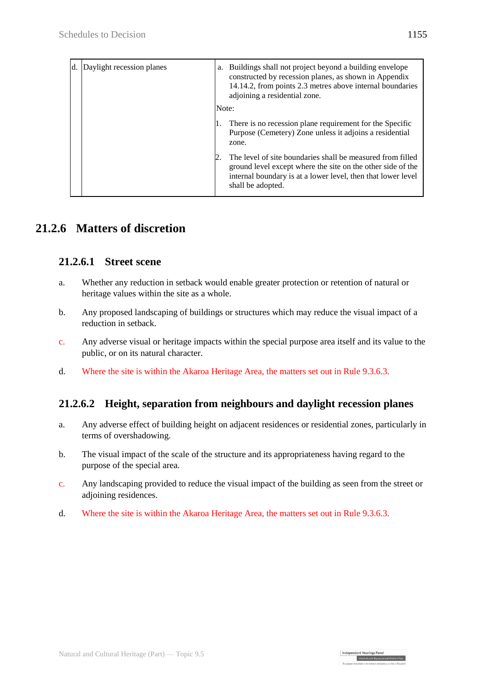| Daylight recession planes | a.<br>Note: | Buildings shall not project beyond a building envelope<br>constructed by recession planes, as shown in Appendix<br>14.14.2, from points 2.3 metres above internal boundaries<br>adjoining a residential zone.  |
|---------------------------|-------------|----------------------------------------------------------------------------------------------------------------------------------------------------------------------------------------------------------------|
|                           |             | There is no recession plane requirement for the Specific<br>Purpose (Cemetery) Zone unless it adjoins a residential<br>zone.                                                                                   |
|                           |             | The level of site boundaries shall be measured from filled<br>ground level except where the site on the other side of the<br>internal boundary is at a lower level, then that lower level<br>shall be adopted. |

## **21.2.6 Matters of discretion**

#### **21.2.6.1 Street scene**

- a. Whether any reduction in setback would enable greater protection or retention of natural or heritage values within the site as a whole.
- b. Any proposed landscaping of buildings or structures which may reduce the visual impact of a reduction in setback.
- c. Any adverse visual or heritage impacts within the special purpose area itself and its value to the public, or on its natural character.
- d. Where the site is within the Akaroa Heritage Area, the matters set out in Rule 9.3.6.3.

### **21.2.6.2 Height, separation from neighbours and daylight recession planes**

- a. Any adverse effect of building height on adjacent residences or residential zones, particularly in terms of overshadowing.
- b. The visual impact of the scale of the structure and its appropriateness having regard to the purpose of the special area.
- c. Any landscaping provided to reduce the visual impact of the building as seen from the street or adjoining residences.

Independent Hearings Panel<br>Christchurch Replacement District Plan

d. Where the site is within the Akaroa Heritage Area, the matters set out in Rule 9.3.6.3.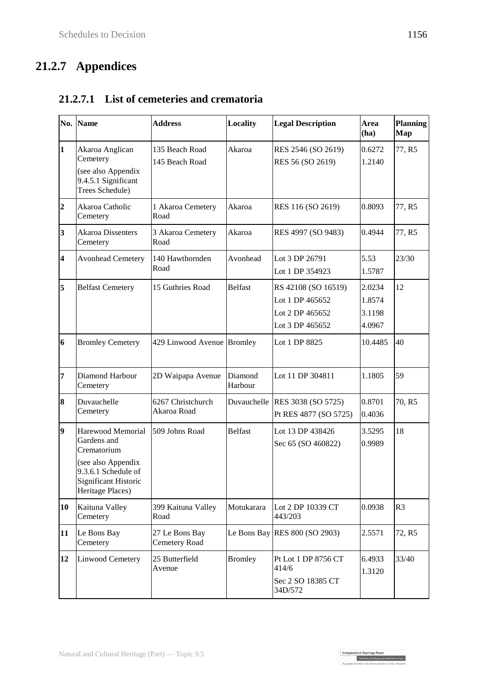# **21.2.7 Appendices**

|                         | No. Name                                                                                                                                 | <b>Address</b>                   | <b>Locality</b>    | <b>Legal Description</b>                                                     | Area<br>(ha)                         | <b>Planning</b><br>Map |
|-------------------------|------------------------------------------------------------------------------------------------------------------------------------------|----------------------------------|--------------------|------------------------------------------------------------------------------|--------------------------------------|------------------------|
| $\mathbf{1}$            | Akaroa Anglican<br>Cemetery<br>(see also Appendix<br>9.4.5.1 Significant<br>Trees Schedule)                                              | 135 Beach Road<br>145 Beach Road | Akaroa             | RES 2546 (SO 2619)<br>RES 56 (SO 2619)                                       | 0.6272<br>1.2140                     | 77, R5                 |
| $\overline{2}$          | Akaroa Catholic<br>Cemetery                                                                                                              | 1 Akaroa Cemetery<br>Road        | Akaroa             | RES 116 (SO 2619)                                                            | 0.8093                               | 77, R5                 |
| $\overline{\mathbf{3}}$ | <b>Akaroa Dissenters</b><br>Cemetery                                                                                                     | 3 Akaroa Cemetery<br>Road        | Akaroa             | RES 4997 (SO 9483)                                                           | 0.4944                               | 77, R5                 |
| $\overline{\mathbf{4}}$ | <b>Avonhead Cemetery</b>                                                                                                                 | 140 Hawthornden<br>Road          | Avonhead           | Lot 3 DP 26791<br>Lot 1 DP 354923                                            | 5.53<br>1.5787                       | 23/30                  |
| 5                       | <b>Belfast Cemetery</b>                                                                                                                  | 15 Guthries Road                 | <b>Belfast</b>     | RS 42108 (SO 16519)<br>Lot 1 DP 465652<br>Lot 2 DP 465652<br>Lot 3 DP 465652 | 2.0234<br>1.8574<br>3.1198<br>4.0967 | 12                     |
| 6                       | <b>Bromley Cemetery</b>                                                                                                                  | 429 Linwood Avenue Bromley       |                    | Lot 1 DP 8825                                                                | 10.4485                              | 40                     |
| $\overline{7}$          | Diamond Harbour<br>Cemetery                                                                                                              | 2D Waipapa Avenue                | Diamond<br>Harbour | Lot 11 DP 304811                                                             | 1.1805                               | 59                     |
| 8                       | Duvauchelle<br>Cemetery                                                                                                                  | 6267 Christchurch<br>Akaroa Road |                    | Duvauchelle RES 3038 (SO 5725)<br>Pt RES 4877 (SO 5725)                      | 0.8701<br>0.4036                     | 70, R5                 |
| 9                       | Harewood Memorial<br>Gardens and<br>Crematorium<br>(see also Appendix<br>9.3.6.1 Schedule of<br>Significant Historic<br>Heritage Places) | 509 Johns Road                   | <b>Belfast</b>     | Lot 13 DP 438426<br>Sec 65 (SO 460822)                                       | 3.5295<br>0.9989                     | 18                     |
| 10                      | Kaituna Valley<br>Cemetery                                                                                                               | 399 Kaituna Valley<br>Road       | Motukarara         | Lot 2 DP 10339 CT<br>443/203                                                 | 0.0938                               | R <sub>3</sub>         |
| 11                      | Le Bons Bay<br>Cemetery                                                                                                                  | 27 Le Bons Bay<br>Cemetery Road  |                    | Le Bons Bay RES $800$ (SO 2903)                                              | 2.5571                               | 72, R5                 |
| 12                      | <b>Linwood Cemetery</b>                                                                                                                  | 25 Butterfield<br>Avenue         | <b>Bromley</b>     | Pt Lot 1 DP 8756 CT<br>414/6<br>Sec 2 SO 18385 CT<br>34D/572                 | 6.4933<br>1.3120                     | 33/40                  |

## **21.2.7.1 List of cemeteries and crematoria**

Independent Hearings Panel<br>Christchurch Replacement District Plan<br>Te gaegae motubake o te mahore ubakabou a robe o Ötautab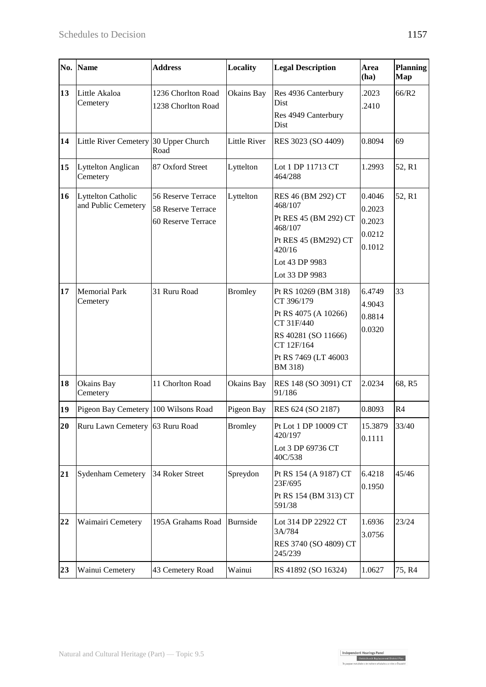Independent Hearings Panel<br>Christchurch Replacement District Plan<br>Te gaegae motubake o te mahore ubakabou a robe o Ötautab

|    | No. Name                                  | <b>Address</b>                                                 | Locality            | <b>Legal Description</b>                                                                                                                         | Area<br>(ha)                                   | <b>Planning</b><br>Map |
|----|-------------------------------------------|----------------------------------------------------------------|---------------------|--------------------------------------------------------------------------------------------------------------------------------------------------|------------------------------------------------|------------------------|
| 13 | Little Akaloa<br>Cemetery                 | 1236 Chorlton Road<br>1238 Chorlton Road                       | Okains Bay          | Res 4936 Canterbury<br>Dist<br>Res 4949 Canterbury<br>Dist                                                                                       | .2023<br>.2410                                 | 66/R2                  |
| 14 | Little River Cemetery 30 Upper Church     | Road                                                           | <b>Little River</b> | RES 3023 (SO 4409)                                                                                                                               | 0.8094                                         | 69                     |
| 15 | Lyttelton Anglican<br>Cemetery            | 87 Oxford Street                                               | Lyttelton           | Lot 1 DP 11713 CT<br>464/288                                                                                                                     | 1.2993                                         | 52, R1                 |
| 16 | Lyttelton Catholic<br>and Public Cemetery | 56 Reserve Terrace<br>58 Reserve Terrace<br>60 Reserve Terrace | Lyttelton           | RES 46 (BM 292) CT<br>468/107<br>Pt RES 45 (BM 292) CT<br>468/107<br>Pt RES 45 (BM292) CT<br>420/16<br>Lot 43 DP 9983<br>Lot 33 DP 9983          | 0.4046<br>0.2023<br>0.2023<br>0.0212<br>0.1012 | 52, R1                 |
| 17 | <b>Memorial Park</b><br>Cemetery          | 31 Ruru Road                                                   | <b>Bromley</b>      | Pt RS 10269 (BM 318)<br>CT 396/179<br>Pt RS 4075 (A 10266)<br>CT 31F/440<br>RS 40281 (SO 11666)<br>CT 12F/164<br>Pt RS 7469 (LT 46003<br>BM 318) | 6.4749<br>4.9043<br>0.8814<br>0.0320           | 33                     |
| 18 | Okains Bay<br>Cemetery                    | 11 Chorlton Road                                               | Okains Bay          | RES 148 (SO 3091) CT<br>91/186                                                                                                                   | 2.0234                                         | 68, R5                 |
| 19 | Pigeon Bay Cemetery 100 Wilsons Road      |                                                                | Pigeon Bay          | RES 624 (SO 2187)                                                                                                                                | 0.8093                                         | R <sub>4</sub>         |
|    | 20 Ruru Lawn Cemetery 63 Ruru Road        |                                                                | <b>Bromley</b>      | Pt Lot 1 DP 10009 CT<br>420/197<br>Lot 3 DP 69736 CT<br>40C/538                                                                                  | 15.3879<br>0.1111                              | 33/40                  |
| 21 | Sydenham Cemetery                         | 34 Roker Street                                                | Spreydon            | Pt RS 154 (A 9187) CT<br>23F/695<br>Pt RS 154 (BM 313) CT<br>591/38                                                                              | 6.4218<br>0.1950                               | 45/46                  |
| 22 | Waimairi Cemetery                         | 195A Grahams Road                                              | Burnside            | Lot 314 DP 22922 CT<br>3A/784<br>RES 3740 (SO 4809) CT<br>245/239                                                                                | 1.6936<br>3.0756                               | 23/24                  |
| 23 | Wainui Cemetery                           | 43 Cemetery Road                                               | Wainui              | RS 41892 (SO 16324)                                                                                                                              | 1.0627                                         | 75, R4                 |